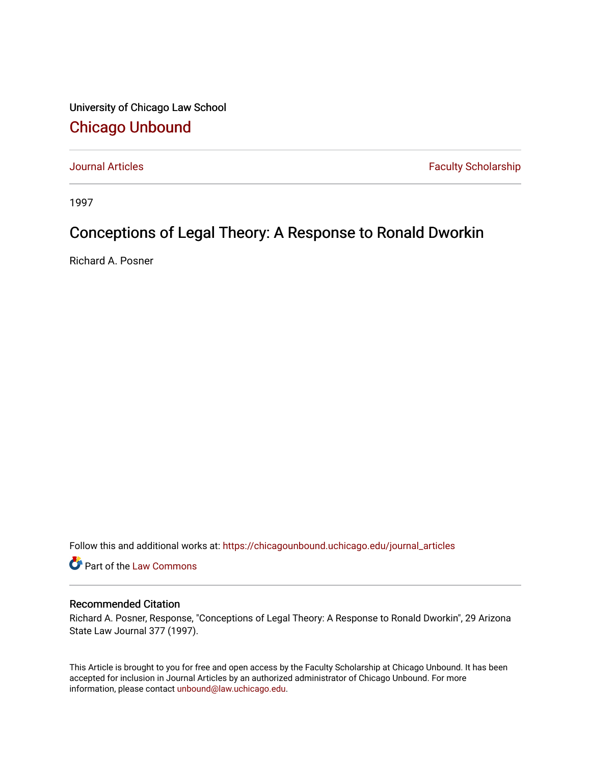University of Chicago Law School [Chicago Unbound](https://chicagounbound.uchicago.edu/)

[Journal Articles](https://chicagounbound.uchicago.edu/journal_articles) **Faculty Scholarship Faculty Scholarship** 

1997

## Conceptions of Legal Theory: A Response to Ronald Dworkin

Richard A. Posner

Follow this and additional works at: [https://chicagounbound.uchicago.edu/journal\\_articles](https://chicagounbound.uchicago.edu/journal_articles?utm_source=chicagounbound.uchicago.edu%2Fjournal_articles%2F3457&utm_medium=PDF&utm_campaign=PDFCoverPages) 

Part of the [Law Commons](http://network.bepress.com/hgg/discipline/578?utm_source=chicagounbound.uchicago.edu%2Fjournal_articles%2F3457&utm_medium=PDF&utm_campaign=PDFCoverPages)

### Recommended Citation

Richard A. Posner, Response, "Conceptions of Legal Theory: A Response to Ronald Dworkin", 29 Arizona State Law Journal 377 (1997).

This Article is brought to you for free and open access by the Faculty Scholarship at Chicago Unbound. It has been accepted for inclusion in Journal Articles by an authorized administrator of Chicago Unbound. For more information, please contact [unbound@law.uchicago.edu](mailto:unbound@law.uchicago.edu).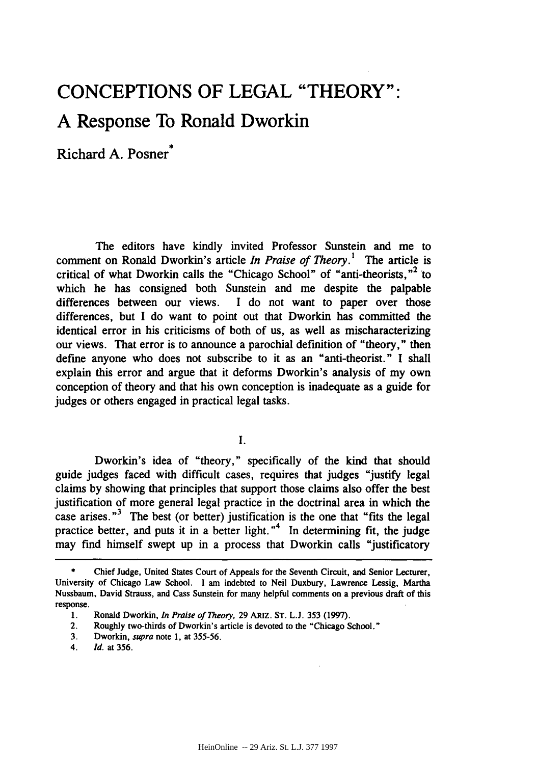# **CONCEPTIONS OF LEGAL "THEORY": A Response To Ronald Dworkin**

Richard **A.** Posner\*

The editors have kindly invited Professor Sunstein and me to comment on Ronald Dworkin's article *In Praise of Theory.'* The article is critical of what Dworkin calls the "Chicago School" of "anti-theorists,"<sup>2</sup> to which he has consigned both Sunstein and me despite the palpable differences between our views. I do not want to paper over those differences, but I do want to point out that Dworkin has committed the identical error in his criticisms of both of us, as well as mischaracterizing our views. That error is to announce a parochial definition of "theory," then define anyone who does not subscribe to it as an "anti-theorist." I shall explain this error and argue that it deforms Dworkin's analysis of my own conception of theory and that his own conception is inadequate as a guide for judges or others engaged in practical legal tasks.

I.

Dworkin's idea of "theory," specifically of the kind that should guide judges faced with difficult cases, requires that judges "justify legal claims by showing that principles that support those claims also offer the best justification of more general legal practice in the doctrinal area in which the case arises. **"3** The best (or better) justification is the one that "fits the legal practice better, and puts it in a better light."<sup>4</sup> In determining fit, the judge may find himself swept up in a process that Dworkin calls "justificatory

**<sup>\*</sup>** Chief Judge, United States Court of Appeals for the Seventh Circuit, and Senior Lecturer, University of Chicago Law School. I am indebted to Neil Duxbury, Lawrence Lessig, Martha Nussbaum, David Strauss, and Cass Sunstein for many helpful comments on a previous draft of this response.

**<sup>1.</sup>** Ronald Dworkin, *In Praise of Theory,* 29 ARIZ. **ST.** L.J. **353 (1997).**

<sup>2.</sup> Roughly two-thirds of Dworkin's article is devoted to the "Chicago School."

<sup>3.</sup> Dworkin, *supra* note 1, at 355-56.

<sup>4.</sup> *Id.* at 356.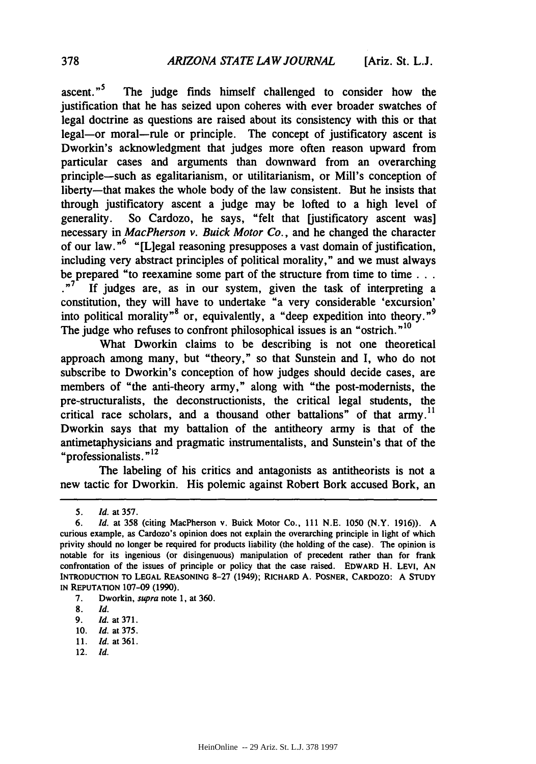ascent."<sup>3</sup> The judge finds himself challenged to consider how the justification that he has seized upon coheres with ever broader swatches of legal doctrine as questions are raised about its consistency with this or that legal-or moral-rule or principle. The concept of justificatory ascent is Dworkin's acknowledgment that judges more often reason upward from particular cases and arguments than downward from an overarching principle-such as egalitarianism, or utilitarianism, or Mill's conception of liberty-that makes the whole body of the law consistent. But he insists that through justificatory ascent a judge may be lofted to a high level of generality. So Cardozo, he says, "felt that [justificatory ascent was] necessary in *MacPherson v. Buick Motor Co.,* and he changed the character of our law. **"6** "[Liegal reasoning presupposes a vast domain of justification, including very abstract principles of political morality," and we must always be prepared "to reexamine some part of the structure from time to time... .<sup>7</sup> If judges are, as in our system, given the task of interpreting a constitution, they will have to undertake "a very considerable 'excursion' into political morality<sup>78</sup> or, equivalently, a "deep expedition into theory."<sup>9</sup> The judge who refuses to confront philosophical issues is an "ostrich."<sup>10</sup>

What Dworkin claims to be describing is not one theoretical approach among many, but "theory," so that Sunstein and I, who do not subscribe to Dworkin's conception of how judges should decide cases, are members of "the anti-theory army," along with "the post-modernists, the pre-structuralists, the deconstructionists, the critical legal students, the critical race scholars, and a thousand other battalions" of that army.<sup>11</sup> Dworkin says that my battalion of the antitheory army is that of the antimetaphysicians and pragmatic instrumentalists, and Sunstein's that of the "professionalists. **"12**

The labeling of his critics and antagonists as antitheorists is not a new tactic for Dworkin. His polemic against Robert Bork accused Bork, an

12. *Id.*

<sup>5.</sup> *Id.* at 357.

*<sup>6.</sup> Id.* at **358** (citing MacPherson v. Buick Motor Co., 111 N.E. 1050 (N.Y. 1916)). A curious example, as Cardozo's opinion does not explain the overarching principle in light of which privity should no longer be required for products liability (the holding of the case). The opinion is notable for its ingenious (or disingenuous) manipulation of precedent rather than for frank confrontation of the issues of principle or policy that the case raised. EDWARD H. LEVI, **AN** INTRODUCTION TO **LEGAL** REASONING 8-27 (1949); RICHARD A. POSNER, CARDOZO: A **STUDY IN** REPUTATION **107-09 (1990).**

**<sup>7.</sup>** Dworkin, supra note **1,** at **360.**

**<sup>8.</sup>** *Id.*

**<sup>9.</sup>** *ld.* at **371.**

**<sup>10.</sup>** *Id.* at 375.

<sup>11.</sup> Id. at 361.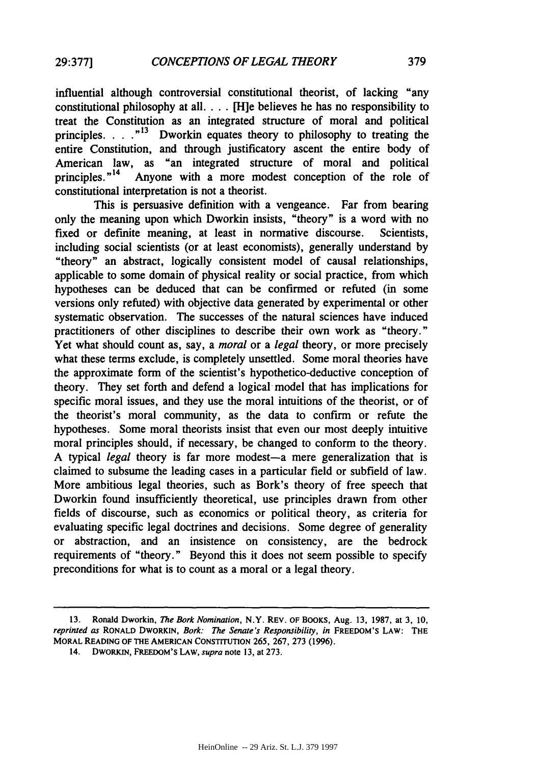influential although controversial constitutional theorist, of lacking "any constitutional philosophy at all. . **.** .[H]e believes he has no responsibility to treat the Constitution as an integrated structure of moral and political principles. . . .<sup>"13</sup> Dworkin equates theory to philosophy to treating the entire Constitution, and through justificatory ascent the entire body of American law, as "an integrated structure of moral and political principles."<sup>14</sup> Anyone with a more modest conception of the role of constitutional interpretation is not a theorist.

This is persuasive definition with a vengeance. Far from bearing only the meaning upon which Dworkin insists, "theory" is a word with no fixed or definite meaning, at least in normative discourse. Scientists, including social scientists (or at least economists), generally understand **by** "theory" an abstract, logically consistent model of causal relationships, applicable to some domain of physical reality or social practice, from which hypotheses can be deduced that can be confirmed or refuted (in some versions only refuted) with objective data generated **by** experimental or other systematic observation. The successes of the natural sciences have induced practitioners of other disciplines to describe their own work as "theory." Yet what should count as, say, a *moral* or a *legal* theory, or more precisely what these terms exclude, is completely unsettled. Some moral theories have the approximate form of the scientist's hypothetico-deductive conception of theory. They set forth and defend a logical model that has implications for specific moral issues, and they use the moral intuitions of the theorist, or of the theorist's moral community, as the data to confirm or refute the hypotheses. Some moral theorists insist that even our most deeply intuitive moral principles should, if necessary, be changed to conform to the theory. A typical *legal* theory is far more modest-a mere generalization that is claimed to subsume the leading cases in a particular field or subfield of law. More ambitious legal theories, such as Bork's theory of free speech that Dworkin found insufficiently theoretical, use principles drawn from other fields of discourse, such as economics or political theory, as criteria for evaluating specific legal doctrines and decisions. Some degree of generality or abstraction, and an insistence on consistency, are the bedrock requirements of "theory." Beyond this it does not seem possible to specify preconditions for what is to count as a moral or a legal theory.

**14. DWORKIN, FREEDOM'S LAW,** *supra* **note 13, at 273.**

**<sup>13.</sup>** Ronald Dworkin, *The Bork Nomination,* N.Y. REV. OF BOOKS, Aug. **13, 1987,** at **3, 10,** *reprinted as* RONALD DWORKIN, *Bork: The Senate's Responsibility, in* FREEDOM'S LAW: THE **MORAL READING** OF **THE AMERICAN CONSTITUTION** 265, **267, 273 (1996).**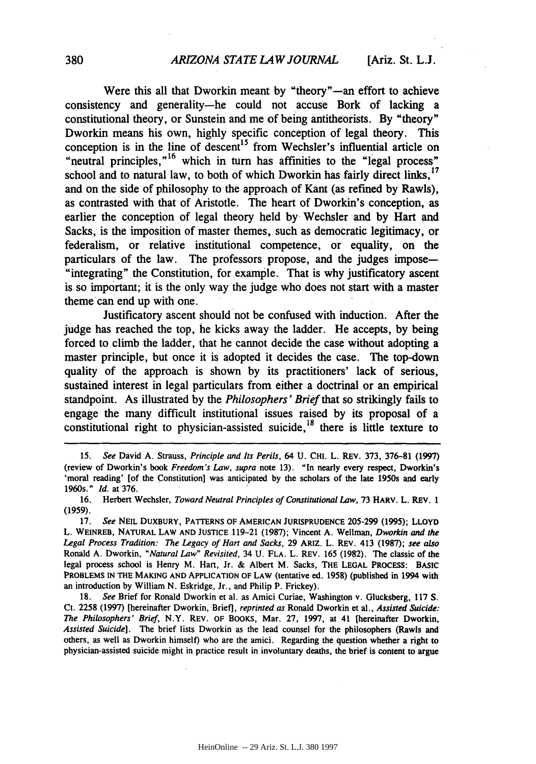Were this all that Dworkin meant by "theory"-an effort to achieve consistency and generality-he could not accuse Bork of lacking a constitutional theory, or Sunstein and me of being antitheorists. **By** "theory" Dworkin means his own, **highly** specific conception of legal theory. This conception is in the line of descent<sup>15</sup> from Wechsler's influential article on "neutral principles, $n^{16}$  which in turn has affinities to the "legal process" school and to natural law, to both of which Dworkin has fairly direct links.<sup>17</sup> and on the side of philosophy to the approach of Kant (as refined **by** Rawls), as contrasted with that of Aristotle. The heart of Dworkin's conception, as earlier the conception of legal theory held **by.** Wechsler and **by** Hart and Sacks, is the imposition of master themes, such as democratic legitimacy, or federalism, or relative institutional competence, or equality, on the particulars of the law. The professors propose, and the judges impose— "integrating" the Constitution, for example. That is why justificatory ascent is so important; it is the only way the judge who does not start with a master theme can end up with one.

Justificatory ascent should not be confused with induction. After the judge has reached the top, he kicks away the ladder. He accepts, by being forced to climb the ladder, that he cannot decide the case without adopting a master principle, but once it is adopted it decides the case. The top-down quality of the approach is shown by its practitioners' lack of serious, sustained interest in legal particulars from either a doctrinal or an empirical standpoint. As illustrated by the *Philosophers' Brief* that so strikingly fails to engage the many difficult institutional issues raised by its proposal of a constitutional right to physician-assisted suicide,  $^{18}$  there is little texture to

**<sup>15.</sup>** *See* David A. Strauss, *Principle and Its Perils,* 64 **U. CHI.** L. REV. 373, 376-81 (1997) (review of Dworkin's book *Freedom's Law, supra* note 13). "In nearly every respect, Dworkin's 'moral reading' [of the Constitution] was anticipated by the scholars of the late 1950s and early 1960s." Id. at 376.

<sup>16.</sup> Herbert Wechsler, *Toward Neutral Principles of Constitutional Law,* 73 HARV. L. REV. 1 (1959).

**<sup>17.</sup>** *See* **NEIL** DUXBURY, PATTERNS **OF AMERICAN JURISPRUDENCE** 205-299 (1995); **LLOYD** L. WEINREB, NATURAL LAW **AND JUSTICE** 119-21 (1987); Vincent A. Wellman, *Dworkin and the Legal Process Tradition: The Legacy of Hart and Sacks,* 29 ARIZ. L. REV. 413 (1987); *see also* Ronald A. Dworkin, *"Natural Law" Revisited,* 34 **U.** FLA. L. REV. 165 (1982). The classic of the legal process school is Henry M. Hart, Jr. & Albert M. Sacks, THE **LEGAL** PROCESS: **BASIC** PROBLEMS IN THE MAKING **AND APPLICATION** OF LAW (tentative ed. 1958) (published in 1994 with an introduction by William N. Eskridge, Jr., and Philip P. Frickey).

<sup>18.</sup> *See* Brief for Ronald Dworkin et al. as Amici Curiae, Washington v. Glucksberg, 117 **S.** Ct. 2258 (1997) [hereinafter Dworkin, Brief], *reprinted as* Ronald Dworkin et al., *Assisted Suicide: The Philosophers' Brief,* N.Y. REV. OF BOOKS, Mar. 27, 1997, at 41 [hereinafter Dworkin, *Assisted Suicide].* The brief lists Dworkin as the lead counsel for the philosophers (Rawls and others, as well as Dworkin himself) who are the amici. Regarding the question whether a right to physician-assisted suicide might in practice result in involuntary deaths, the brief is content to argue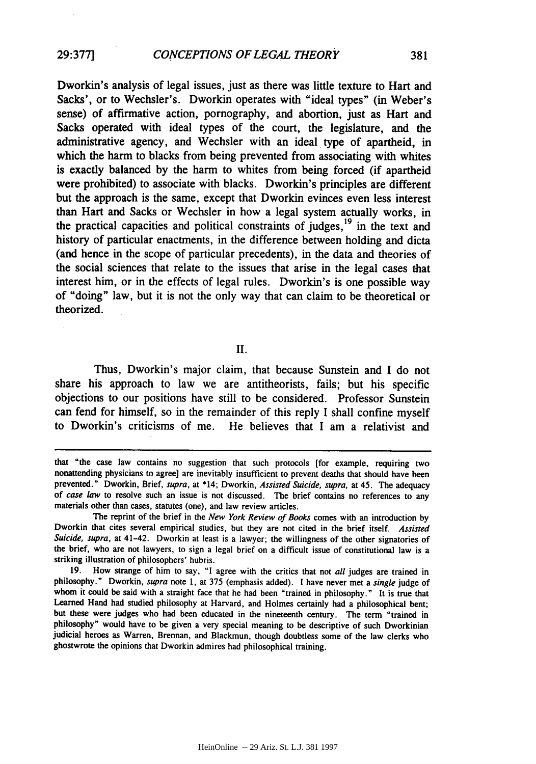**29:377]**

Dworkin's analysis of legal issues, just as there was little texture to Hart and Sacks', or to Wechsler's. Dworkin operates with "ideal types" (in Weber's sense) of affirmative action, pornography, and abortion, just as Hart and Sacks operated with ideal types of the court, the legislature, and the administrative agency, and Wechsler with an ideal type of apartheid, in which the harm to blacks from being prevented from associating with whites is exactly balanced by the harm to whites from being forced (if apartheid were prohibited) to associate with blacks. Dworkin's principles are different but the approach is the same, except that Dworkin evinces even less interest than Hart and Sacks or Wechsler in how a legal system actually works, in the practical capacities and political constraints of judges,  $19$  in the text and history of particular enactments, in the difference between holding and dicta (and hence in the scope of particular precedents), in the data and theories of the social sciences that relate to the issues that arise in the legal cases that interest him, or in the effects of legal rules. Dworkin's is one possible way of "doing" law, but it is not the only way that can claim to be theoretical or theorized.

II.

Thus, Dworkin's major claim, that because Sunstein and I do not share his approach to law we are antitheorists, fails; but his specific objections to our positions have still to be considered. Professor Sunstein can fend for himself, so in the remainder of this reply I shall confine myself to Dworkin's criticisms of me. He believes that I am a relativist and

that "the case law contains no suggestion that such protocols [for example, requiring two nonattending physicians to agree] are inevitably insufficient to prevent deaths that should have been prevented." Dworkin, Brief, *supra,* at \*14; Dworkin, *Assisted Suicide, supra,* at 45. The adequacy of *case law* to resolve such an issue is not discussed. The brief contains no references to any materials other than cases, statutes (one), and law review articles.

The reprint of the brief in the *New York Review of Books* comes with an introduction by Dworkin that cites several empirical studies, but they are not cited in the brief itself. *Assisted Suicide, supra,* at 41-42. Dworkin at least is a lawyer; the willingness of the other signatories of the brief, who are not lawyers, to sign a legal brief on a difficult issue of constitutional law is a striking illustration of philosophers' hubris.

<sup>19.</sup> How strange of him to say, "I agree with the critics that not *all* judges are trained in philosophy." Dworkin, *supra* note 1, at 375 (emphasis added). I have never met a *single* judge of whom it could be said with a straight face that he had been "trained in philosophy." It is true that Learned Hand had studied philosophy at Harvard, and Holmes certainly had a philosophical bent; but these were judges who had been educated in the nineteenth century. The term "trained in philosophy" would have to be given a very special meaning to be descriptive of such Dworkinian judicial heroes as Warren, Brennan, and Blackmun, though doubtless some of the law clerks who ghostwrote the opinions that Dworkin admires had philosophical training.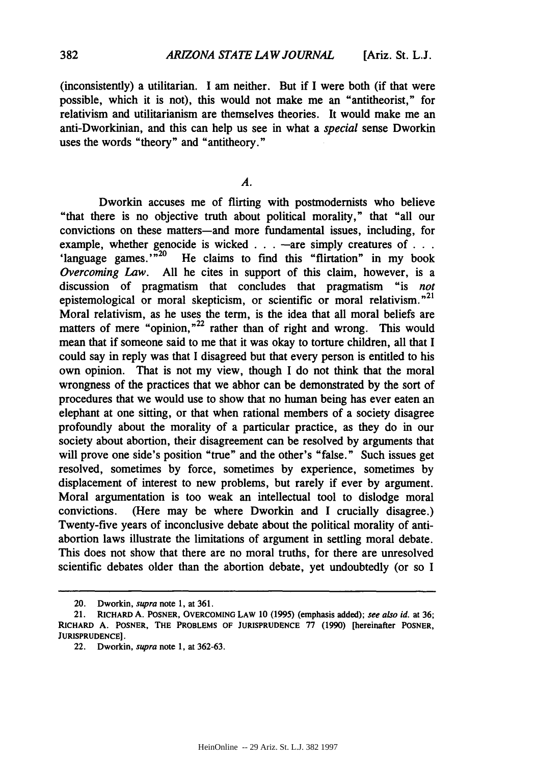(inconsistently) a utilitarian. I am neither. But if I were both (if that were possible, which it is not), this would not make me an "antitheorist," for relativism and utilitarianism are themselves theories. It would make me an anti-Dworkinian, and this can help us see in what a *special* sense Dworkin uses the words "theory" and "antitheory."

### *A.*

Dworkin accuses me of flirting with postmodernists who believe "that there is no objective truth about political morality," that "all our convictions on these matters-and more fundamental issues, including, for example, whether genocide is wicked . . . -are simply creatures of . . . 'language games.' $\frac{1}{20}$  He claims to find this "flirtation" in my book *Overcoming Law.* All he cites in support of this claim, however, is a discussion of pragmatism that concludes that pragmatism "is *not* epistemological or moral skepticism, or scientific or moral relativism. $n^{21}$ Moral relativism, as he uses the term, is the idea that all moral beliefs are matters of mere "opinion, $n^{22}$  rather than of right and wrong. This would mean that if someone said to me that it was okay to torture children, all that I could say in reply was that I disagreed but that every person is entitled to his own opinion. That is not my view, though I do not think that the moral wrongness of the practices that we abhor can be demonstrated by the sort of procedures that we would use to show that no human being has ever eaten an elephant at one sitting, or that when rational members of a society disagree profoundly about the morality of a particular practice, as they do in our society about abortion, their disagreement can be resolved by arguments that will prove one side's position "true" and the other's "false." Such issues get resolved, sometimes by force, sometimes by experience, sometimes by displacement of interest to new problems, but rarely if ever by argument. Moral argumentation is too weak an intellectual tool to dislodge moral convictions. (Here may be where Dworkin and I crucially disagree.) Twenty-five years of inconclusive debate about the political morality of antiabortion laws illustrate the limitations of argument in settling moral debate. This does not show that there are no moral truths, for there are unresolved scientific debates older than the abortion debate, yet undoubtedly (or so I

<sup>20.</sup> Dworkin, supra note 1, at 361.

<sup>21.</sup> **RICHARD A. POSNER, OVERCOMING LAW 10 (1995) (emphasis added); see** also **id.** at **36; RICHARD A. POSNER, THE PROBLEMS OF JURISPRUDENCE 77 (1990) [hereinafter POSNER, JURISPRUDENCE].**

<sup>22.</sup> **Dworkin,** supra **note 1, at 362-63.**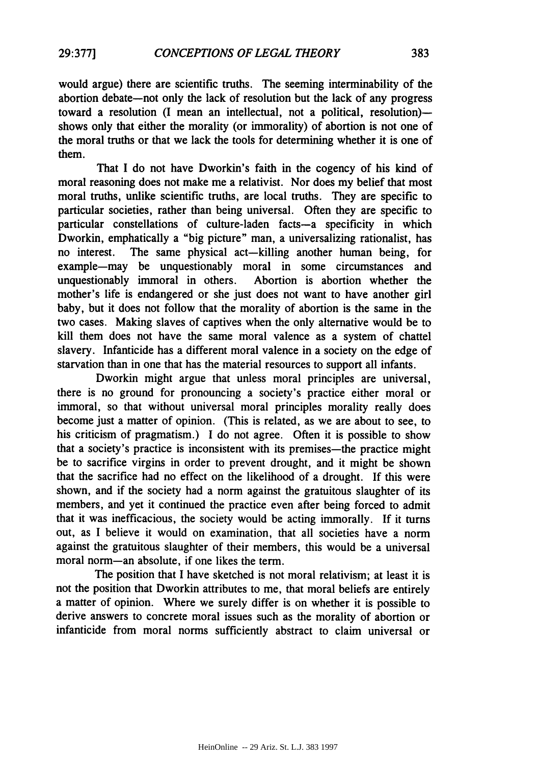would argue) there are scientific truths. The seeming interminability of the abortion debate-not only the lack of resolution but the lack of any progress toward a resolution (I mean an intellectual, not a political, resolution)shows only that either the morality (or immorality) of abortion is not one of the moral truths or that we lack the tools for determining whether it is one of them.

That I do not have Dworkin's faith in the cogency of his kind of moral reasoning does not make me a relativist. Nor does my belief that most moral truths, unlike scientific truths, are local truths. They are specific to particular societies, rather than being universal. Often they are specific to particular constellations of culture-laden facts-a specificity in which Dworkin, emphatically a "big picture" man, a universalizing rationalist, has no interest. The same physical act-killing another human being, for example-may be unquestionably moral in some circumstances and unquestionably immoral in others. Abortion is abortion whether the mother's life is endangered or she just does not want to have another girl baby, but it does not follow that the morality of abortion is the same in the two cases. Making slaves of captives when the only alternative would be to kill them does not have the same moral valence as a system of chattel slavery. Infanticide has a different moral valence in a society on the edge of starvation than in one that has the material resources to support all infants.

Dworkin might argue that unless moral principles are universal, there is no ground for pronouncing a society's practice either moral or immoral, so that without universal moral principles morality really does become just a matter of opinion. (This is related, as we are about to see, to his criticism of pragmatism.) **I** do not agree. Often it is possible to show that a society's practice is inconsistent with its premises—the practice might be to sacrifice virgins in order to prevent drought, and it might be shown that the sacrifice had no effect on the likelihood of a drought. **If** this were shown, and if the society had a norm against the gratuitous slaughter of its members, and yet it continued the practice even after being forced to admit that it was inefficacious, the society would be acting immorally. **If** it turns out, as I believe it would on examination, that all societies have a norm against the gratuitous slaughter of their members, this would be a universal moral norm-an absolute, if one likes the term.

The position that **I** have sketched is not moral relativism; at least it is not the position that Dworkin attributes to me, that moral beliefs are entirely a matter of opinion. Where we surely differ is on whether it is possible to derive answers to concrete moral issues such as the morality of abortion or infanticide from moral norms sufficiently abstract to claim universal or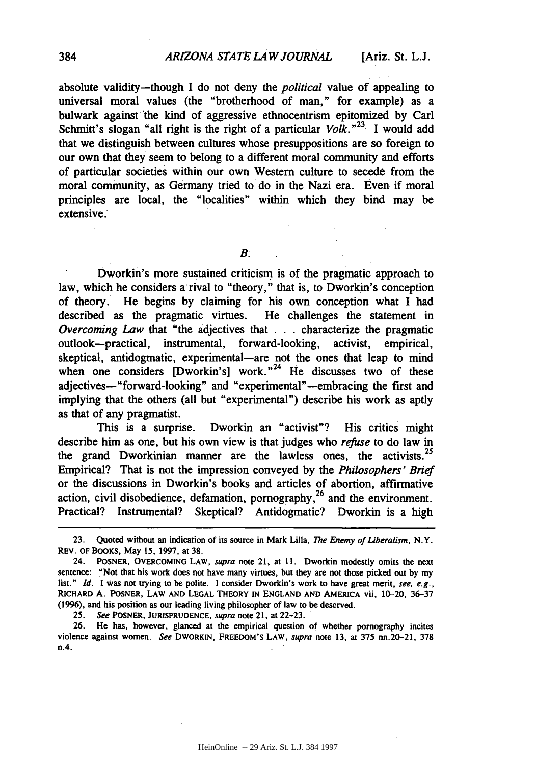absolute validity-though I do not deny the *political* value of appealing to universal moral values (the "brotherhood of man," for example) as a bulwark against the kind of aggressive ethnocentrism epitomized by Carl Schmitt's slogan "all right is the right of a particular *Volk."23* I would add that we distinguish between cultures whose presuppositions are so foreign to our own that they seem to belong to a different moral community and efforts of particular societies within our own Western culture to secede from the moral community, as Germany tried to do in the Nazi era. Even if moral principles are local, the "localities" within which they bind may be extensive.

*B.*

Dworkin's more sustained criticism is of the pragmatic approach to law, which he considers a rival to "theory," that is, to Dworkin's conception of theory. He begins by claiming for his own conception what I had described as the pragmatic virtues. He challenges the statement in *Overcoming Law* that "the adjectives that . . **.** characterize the pragmatic outlook-practical, instrumental, forward-looking, activist, empirical, skeptical, antidogmatic, experimental—are not the ones that leap to mind when one considers  $[Dworkin's]$  work.<sup>"24</sup> He discusses two of these adjectives-"forward-looking" and "experimental"-embracing the first and implying that the others (all but "experimental") describe his work as aptly as that of any pragmatist.

This is a surprise. Dworkin an "activist"? His critics might describe him as one, but his own view is that judges who *refuse* to do law in the grand Dworkinian manner are the lawless ones, the activists.<sup>25</sup> Empirical? That is not the impression conveyed by the *Philosophers' Brief* or the discussions in Dworkin's books and articles of abortion, affirmative action, civil disobedience, defamation, pornography,<sup>26</sup> and the environment.<br>Practical? Instrumental? Skeptical? Antidogmatic? Dworkin is a high

25. See POSNER, JURISPRUDENCE, supra note 21, at 22-23.

26. He has, however, glanced at the empirical question of whether pornography incites violence against women. See DWORKIN, FREEDOM'S LAW, supra note 13, at 375 nn.20-21, **378** n.4.

**<sup>23.</sup>** Quoted without an indication of its source in Mark Lilla, *The* Enemy of Liberalism, N.Y. REV. OF BOOKS, May 15, 1997, at **38.**

<sup>24.</sup> POSNER, OVERCOMING LAW, supra note 21, at 11. Dworkin modestly omits the next sentence: "Not that his work does not have many virtues, but they are not those picked out by my list." *Id.* I was not trying to be polite. I consider Dworkin's work to have great merit, see, e.g., RICHARD A. POSNER, LAW **AND** LEGAL THEORY **IN** ENGLAND **AND** AMERICA vii, 10-20, 36-37 (1996), and his position as our leading living philosopher of law to be deserved.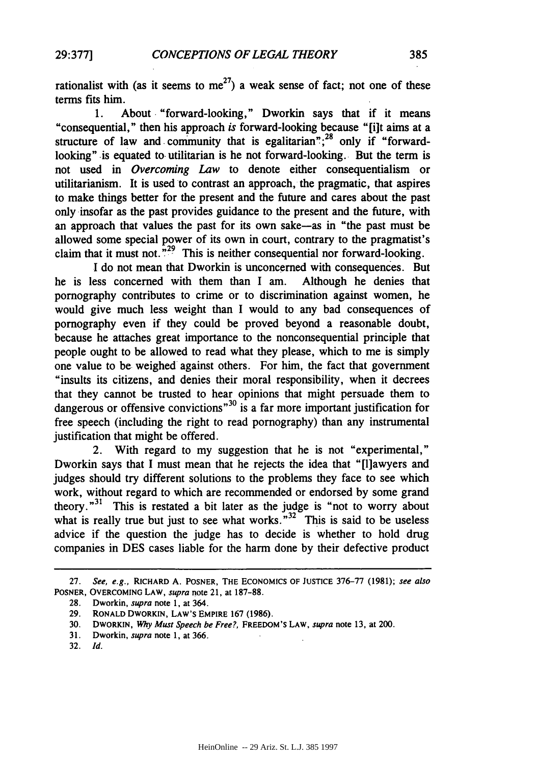rationalist with (as it seems to me<sup>27</sup>) a weak sense of fact; not one of these terms fits him.

1. About "forward-looking," Dworkin says that if it means "consequential," then his approach *is* forward-looking because "[i]t aims at a structure of law and community that is egalitarian";<sup>28</sup> only if "forwardlooking" is equated to utilitarian is he not forward-looking. But the term is not used in *Overcoming Law* to denote either consequentialism or utilitarianism. It is used to contrast an approach, the pragmatic, that aspires to make things better for the present and the future and cares about the past only insofar as the past provides guidance to the present and the future, with an approach that values the past for its own sake-as in "the past must be allowed some special power of its own in court, contrary to the pragmatist's claim that it must not. $\frac{1}{2}$ <sup>29</sup> This is neither consequential nor forward-looking.

I do not mean that Dworkin is unconcerned with consequences. But he is less concerned with them than I am. Although he denies that pornography contributes to crime or to discrimination against women, he would give much less weight than I would to any bad consequences of pornography even if they could be proved beyond a reasonable doubt, because he attaches great importance to the nonconsequential principle that people ought to be allowed to read what they please, which to me is simply one value to be weighed against others. For him, the fact that government "insults its citizens, and denies their moral responsibility, when it decrees that they cannot be trusted to hear opinions that might persuade them to dangerous or offensive convictions<sup>"30</sup> is a far more important justification for free speech (including the right to read pornography) than any instrumental justification that might be offered.

2. With regard to my suggestion that he is not "experimental," Dworkin says that I must mean that he rejects the idea that "[1]awyers and judges should try different solutions to the problems they face to see which work, without regard to which are recommended or endorsed by some grand theory."31 This is restated a bit later as the judge is "not to worry about what is really true but just to see what works. $1^{32}$  This is said to be useless advice if the question the judge has to decide is whether to hold drug companies in DES cases liable for the harm done by their defective product

**<sup>27.</sup>** See, e.g., RICHARD **A.** POSNER, **THE** ECONOMICS OF **JUSTICE 376-77 (1981);** see also POSNER, OVERCOMING LAW, supra note 21, at **187-88.**

**<sup>28.</sup>** Dworkin, supra note **1,** at 364.

**<sup>29.</sup>** RONALD DWORKIN, LAW'S EMPIRE **167 (1986).**

**<sup>30.</sup>** DWORKIN, Why Must Speech be *Free?,* FREEDOM'S LAW, *supra* note **13,** at 200.

**<sup>31.</sup>** Dworkin, *supra* note **1,** at **366.**

<sup>32.</sup> *Id.*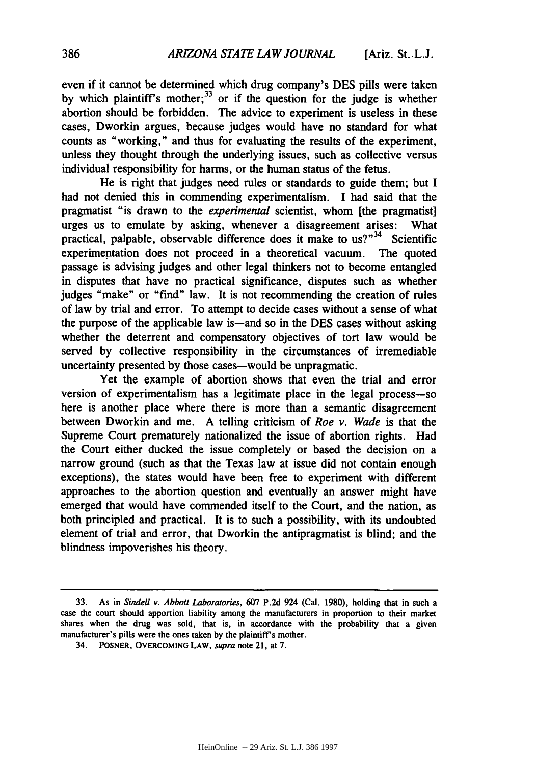even if it cannot be determined which drug company's **DES** pills were taken by which plaintiff's mother;  $33$  or if the question for the judge is whether abortion should be forbidden. The advice to experiment is useless in these cases, Dworkin argues, because judges would have no standard for what counts as "working," and thus for evaluating the results of the experiment, unless they thought through the underlying issues, such as collective versus individual responsibility for harms, or the human status of the fetus.

He is right that judges need rules or standards to guide them; but I had not denied this in commending experimentalism. I had said that the pragmatist "is drawn to the *experimental* scientist, whom [the pragmatist] urges us to emulate by asking, whenever a disagreement arises: What practical, palpable, observable difference does it make to  $us^{2n^34}$  Scientific experimentation does not proceed in a theoretical vacuum. The quoted passage is advising judges and other legal thinkers not to become entangled in disputes that have no practical significance, disputes such as whether judges "make" or "find" law. It is not recommending the creation of rules of law by trial and error. To attempt to decide cases without a sense of what the purpose of the applicable law is-and so in the DES cases without asking whether the deterrent and compensatory objectives of tort law would be served by collective responsibility in the circumstances of irremediable uncertainty presented by those cases-would be unpragmatic.

Yet the example of abortion shows that even the trial and error version of experimentalism has a legitimate place in the legal process-so here is another place where there is more than a semantic disagreement between Dworkin and me. A telling criticism of *Roe v. Wade* is that the Supreme Court prematurely nationalized the issue of abortion rights. Had the Court either ducked the issue completely or based the decision on a narrow ground (such as that the Texas law at issue did not contain enough exceptions), the states would have been free to experiment with different approaches to the abortion question and eventually an answer might have emerged that would have commended itself to the Court, and the nation, as both principled and practical. It is to such a possibility, with its undoubted element of trial and error, that Dworkin the antipragmatist is blind; and the blindness impoverishes his theory.

<sup>33.</sup> As in Sindell v. Abbott Laboratories, 607 P.2d 924 (Cal. 1980), holding that in such a case the court should apportion liability among the manufacturers in proportion to their market shares when the drug was sold, that is, in accordance with the probability that a given manufacturer's pills were the ones taken **by** the plaintiff's mother.

<sup>34.</sup> **POSNER, OVERCOMING LAW,** supra note 21, at **7.**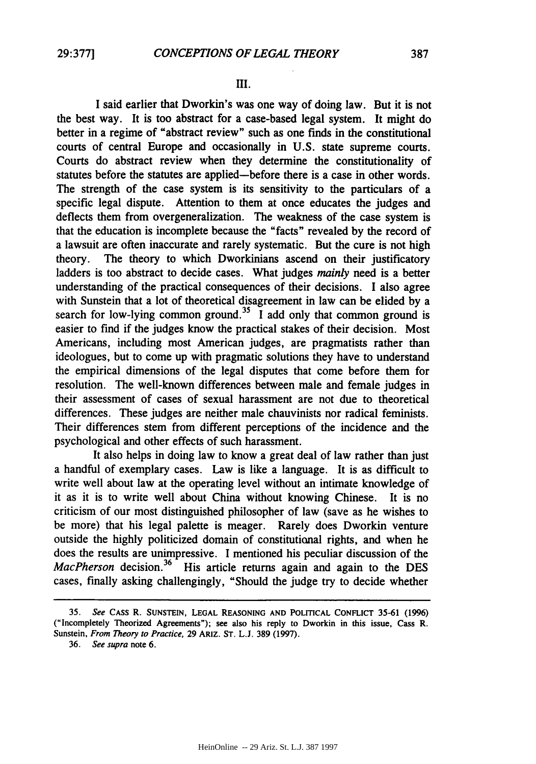#### III.

**I** said earlier that Dworkin's was one way of doing law. But it is not the best way. It is too abstract for a case-based legal system. It might do better in a regime of "abstract review" such as one finds in the constitutional courts of central Europe and occasionally in **U.S.** state supreme courts. Courts do abstract review when they determine the constitutionality of statutes before the statutes are applied-before there is a case in other words. The strength of the case system is its sensitivity to the particulars of a specific legal dispute. Attention to them at once educates the judges and deflects them from overgeneralization. The weakness of the case system is that the education is incomplete because the "facts" revealed **by** the record of a lawsuit are often inaccurate and rarely systematic. But the cure is not high theory. The theory to which Dworkinians ascend on their justificatory ladders is too abstract to decide cases. What judges *mainly* need is a better understanding of the practical consequences of their decisions. I also agree with Sunstein that a lot of theoretical disagreement in law can be elided **by** a search for low-lying common ground.<sup>35</sup> I add only that common ground is easier to find if the judges know the practical stakes of their decision. Most Americans, including most American judges, are pragmatists rather than ideologues, but to come up with pragmatic solutions they have to understand the empirical dimensions of the legal disputes that come before them for resolution. The well-known differences between male and female judges in their assessment of cases of sexual harassment are not due to theoretical differences. These judges are neither male chauvinists nor radical feminists. Their differences stem from different perceptions of the incidence and the psychological and other effects of such harassment.

It also helps in doing law to know a great deal of law rather than just a handful of exemplary cases. Law is like a language. It is as difficult to write well about law at the operating level without an intimate knowledge of it as it is to write well about China without knowing Chinese. It is no criticism of our most distinguished philosopher of law (save as he wishes to be more) that his legal palette is meager. Rarely does Dworkin venture outside the highly politicized domain of constitutional rights, and when he does the results are unimpressive. I mentioned his peculiar discussion of the *MacPherson* decision.<sup>36</sup> His article returns again and again to the DES cases, finally asking challengingly, "Should the judge try to decide whether

**<sup>35.</sup>** *See* **CASS R. SUNSTEIN, LEGAL REASONING AND POLITICAL CONFLICT 35-61 (1996)** ("Incompletely Theorized Agreements"); see also his reply to Dworkin in this issue, Cass R. Sunstein, *From Theory to Practice,* 29 ARIZ. ST. L.J. **389** (1997).

<sup>36.</sup> *See* supra note 6.